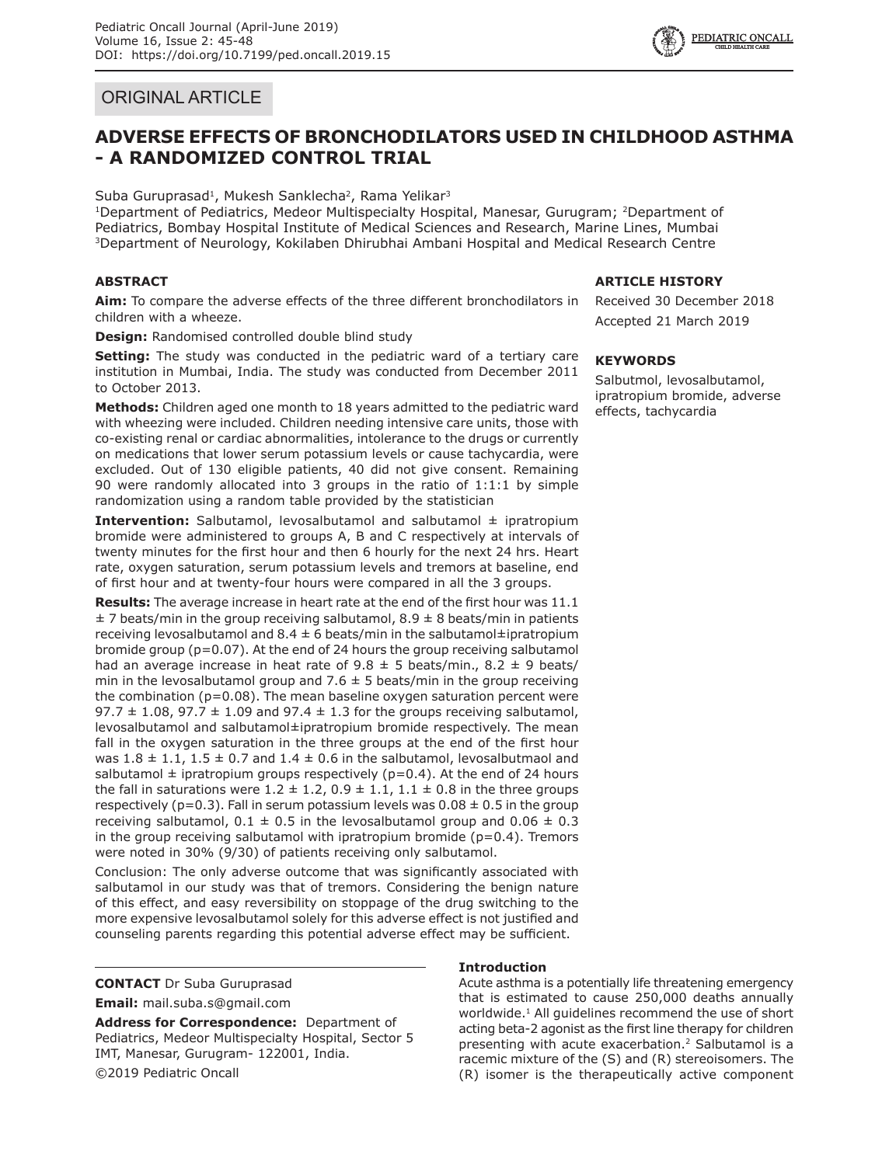# ORIGINAL ARTICLE

# **ADVERSE EFFECTS OF BRONCHODILATORS USED IN CHILDHOOD ASTHMA - A RANDOMIZED CONTROL TRIAL**

Suba Guruprasad<sup>1</sup>, Mukesh Sanklecha<sup>2</sup>, Rama Yelikar<sup>3</sup>

<sup>1</sup>Department of Pediatrics, Medeor Multispecialty Hospital, Manesar, Gurugram; <sup>2</sup>Department of Pediatrics, Bombay Hospital Institute of Medical Sciences and Research, Marine Lines, Mumbai 3Department of Neurology, Kokilaben Dhirubhai Ambani Hospital and Medical Research Centre

# **ABSTRACT**

**Aim:** To compare the adverse effects of the three different bronchodilators in children with a wheeze.

**Design:** Randomised controlled double blind study

**Setting:** The study was conducted in the pediatric ward of a tertiary care institution in Mumbai, India. The study was conducted from December 2011 to October 2013.

**Methods:** Children aged one month to 18 years admitted to the pediatric ward with wheezing were included. Children needing intensive care units, those with co-existing renal or cardiac abnormalities, intolerance to the drugs or currently on medications that lower serum potassium levels or cause tachycardia, were excluded. Out of 130 eligible patients, 40 did not give consent. Remaining 90 were randomly allocated into 3 groups in the ratio of 1:1:1 by simple randomization using a random table provided by the statistician

**Intervention:** Salbutamol, levosalbutamol and salbutamol ± ipratropium bromide were administered to groups A, B and C respectively at intervals of twenty minutes for the first hour and then 6 hourly for the next 24 hrs. Heart rate, oxygen saturation, serum potassium levels and tremors at baseline, end of first hour and at twenty-four hours were compared in all the 3 groups.

**Results:** The average increase in heart rate at the end of the first hour was 11.1  $\pm$  7 beats/min in the group receiving salbutamol, 8.9  $\pm$  8 beats/min in patients receiving levosalbutamol and  $8.4 \pm 6$  beats/min in the salbutamol $\pm$ ipratropium bromide group (p=0.07). At the end of 24 hours the group receiving salbutamol had an average increase in heat rate of  $9.8 \pm 5$  beats/min.,  $8.2 \pm 9$  beats/ min in the levosalbutamol group and 7.6  $\pm$  5 beats/min in the group receiving the combination (p=0.08). The mean baseline oxygen saturation percent were 97.7  $\pm$  1.08, 97.7  $\pm$  1.09 and 97.4  $\pm$  1.3 for the groups receiving salbutamol, levosalbutamol and salbutamol±ipratropium bromide respectively. The mean fall in the oxygen saturation in the three groups at the end of the first hour was  $1.8 \pm 1.1$ ,  $1.5 \pm 0.7$  and  $1.4 \pm 0.6$  in the salbutamol, levosalbutmaol and salbutamol  $\pm$  ipratropium groups respectively (p=0.4). At the end of 24 hours the fall in saturations were  $1.2 \pm 1.2$ ,  $0.9 \pm 1.1$ ,  $1.1 \pm 0.8$  in the three groups respectively ( $p=0.3$ ). Fall in serum potassium levels was  $0.08 \pm 0.5$  in the group receiving salbutamol,  $0.1 \pm 0.5$  in the levosalbutamol group and  $0.06 \pm 0.3$ in the group receiving salbutamol with ipratropium bromide ( $p=0.4$ ). Tremors were noted in 30% (9/30) of patients receiving only salbutamol.

Conclusion: The only adverse outcome that was significantly associated with salbutamol in our study was that of tremors. Considering the benign nature of this effect, and easy reversibility on stoppage of the drug switching to the more expensive levosalbutamol solely for this adverse effect is not justified and counseling parents regarding this potential adverse effect may be sufficient.

**CONTACT** Dr Suba Guruprasad **Email:** mail.suba.s@gmail.com

**Address for Correspondence:** Department of Pediatrics, Medeor Multispecialty Hospital, Sector 5 IMT, Manesar, Gurugram- 122001, India. ©2019 Pediatric Oncall

# **ARTICLE HISTORY**

Received 30 December 2018 Accepted 21 March 2019

# **KEYWORDS**

Salbutmol, levosalbutamol, ipratropium bromide, adverse effects, tachycardia

# **Introduction**

Acute asthma is a potentially life threatening emergency that is estimated to cause 250,000 deaths annually worldwide.<sup>1</sup> All quidelines recommend the use of short acting beta-2 agonist as the first line therapy for children presenting with acute exacerbation.<sup>2</sup> Salbutamol is a racemic mixture of the (S) and (R) stereoisomers. The (R) isomer is the therapeutically active component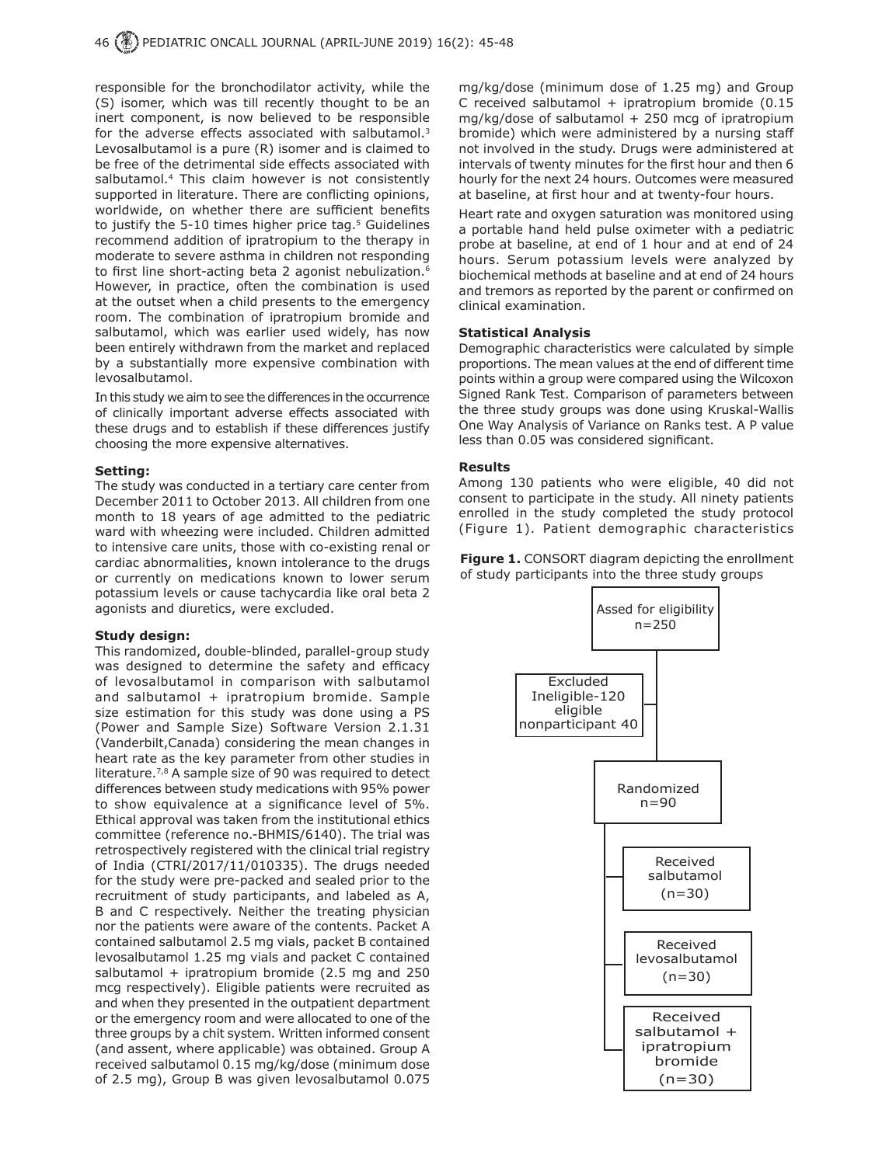responsible for the bronchodilator activity, while the (S) isomer, which was till recently thought to be an inert component, is now believed to be responsible for the adverse effects associated with salbutamol. $3$ Levosalbutamol is a pure (R) isomer and is claimed to be free of the detrimental side effects associated with salbutamol.<sup>4</sup> This claim however is not consistently supported in literature. There are conflicting opinions, worldwide, on whether there are sufficient benefits to justify the 5-10 times higher price tag.<sup>5</sup> Guidelines recommend addition of ipratropium to the therapy in moderate to severe asthma in children not responding to first line short-acting beta 2 agonist nebulization.<sup>6</sup> However, in practice, often the combination is used at the outset when a child presents to the emergency room. The combination of ipratropium bromide and salbutamol, which was earlier used widely, has now been entirely withdrawn from the market and replaced by a substantially more expensive combination with levosalbutamol.

In this study we aim to see the differences in the occurrence of clinically important adverse effects associated with these drugs and to establish if these differences justify choosing the more expensive alternatives.

#### **Setting:**

The study was conducted in a tertiary care center from December 2011 to October 2013. All children from one month to 18 years of age admitted to the pediatric ward with wheezing were included. Children admitted to intensive care units, those with co-existing renal or cardiac abnormalities, known intolerance to the drugs or currently on medications known to lower serum potassium levels or cause tachycardia like oral beta 2 agonists and diuretics, were excluded.

#### **Study design:**

This randomized, double-blinded, parallel-group study was designed to determine the safety and efficacy of levosalbutamol in comparison with salbutamol and salbutamol + ipratropium bromide. Sample size estimation for this study was done using a PS (Power and Sample Size) Software Version 2.1.31 (Vanderbilt,Canada) considering the mean changes in heart rate as the key parameter from other studies in literature.<sup>7,8</sup> A sample size of 90 was required to detect differences between study medications with 95% power to show equivalence at a significance level of 5%. Ethical approval was taken from the institutional ethics committee (reference no.-BHMIS/6140). The trial was retrospectively registered with the clinical trial registry of India (CTRI/2017/11/010335). The drugs needed for the study were pre-packed and sealed prior to the recruitment of study participants, and labeled as A, B and C respectively. Neither the treating physician nor the patients were aware of the contents. Packet A contained salbutamol 2.5 mg vials, packet B contained levosalbutamol 1.25 mg vials and packet C contained salbutamol + ipratropium bromide (2.5 mg and 250 mcg respectively). Eligible patients were recruited as and when they presented in the outpatient department or the emergency room and were allocated to one of the three groups by a chit system. Written informed consent (and assent, where applicable) was obtained. Group A received salbutamol 0.15 mg/kg/dose (minimum dose of 2.5 mg), Group B was given levosalbutamol 0.075

mg/kg/dose (minimum dose of 1.25 mg) and Group C received salbutamol + ipratropium bromide (0.15  $mq/kg/dose$  of salbutamol  $+250$  mcg of ipratropium bromide) which were administered by a nursing staff not involved in the study. Drugs were administered at intervals of twenty minutes for the first hour and then 6 hourly for the next 24 hours. Outcomes were measured at baseline, at first hour and at twenty-four hours.

Heart rate and oxygen saturation was monitored using a portable hand held pulse oximeter with a pediatric probe at baseline, at end of 1 hour and at end of 24 hours. Serum potassium levels were analyzed by biochemical methods at baseline and at end of 24 hours and tremors as reported by the parent or confirmed on clinical examination.

#### **Statistical Analysis**

Demographic characteristics were calculated by simple proportions. The mean values at the end of different time points within a group were compared using the Wilcoxon Signed Rank Test. Comparison of parameters between the three study groups was done using Kruskal-Wallis One Way Analysis of Variance on Ranks test. A P value less than 0.05 was considered significant.

#### **Results**

Among 130 patients who were eligible, 40 did not consent to participate in the study. All ninety patients enrolled in the study completed the study protocol (Figure 1). Patient demographic characteristics

**Figure 1.** CONSORT diagram depicting the enrollment of study participants into the three study groups

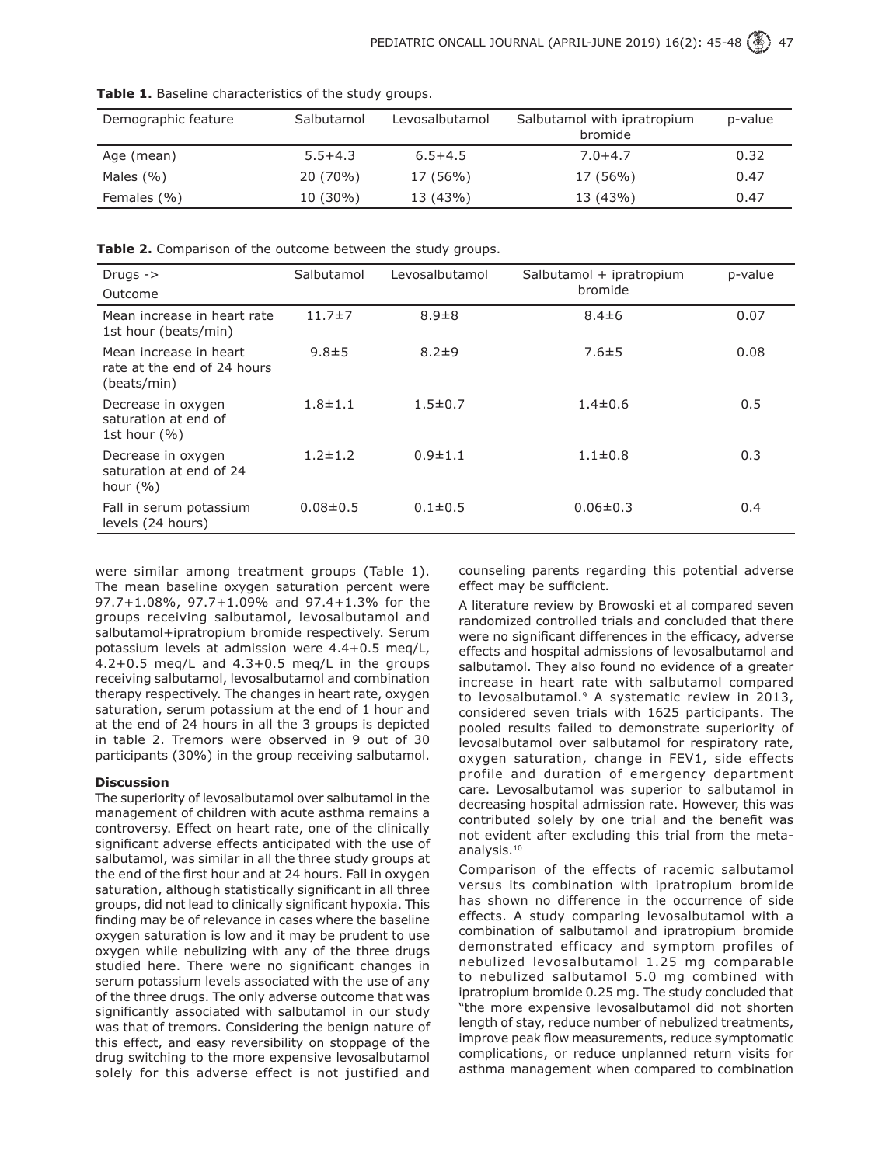| Demographic feature | Salbutamol  | Levosalbutamol | Salbutamol with ipratropium<br>bromide | p-value |
|---------------------|-------------|----------------|----------------------------------------|---------|
| Age (mean)          | $5.5 + 4.3$ | $6.5 + 4.5$    | $7.0 + 4.7$                            | 0.32    |
| Males $(% )$        | 20 (70%)    | 17 (56%)       | 17 (56%)                               | 0.47    |
| Females (%)         | $10(30\%)$  | 13 (43%)       | 13 (43%)                               | 0.47    |

**Table 1.** Baseline characteristics of the study groups.

**Table 2.** Comparison of the outcome between the study groups.

| Drugs $\rightarrow$                                                  | Salbutamol     | Levosalbutamol | Salbutamol + ipratropium | p-value |
|----------------------------------------------------------------------|----------------|----------------|--------------------------|---------|
| Outcome                                                              |                |                | bromide                  |         |
| Mean increase in heart rate<br>1st hour (beats/min)                  | $11.7 \pm 7$   | $8.9 \pm 8$    | $8.4 \pm 6$              | 0.07    |
| Mean increase in heart<br>rate at the end of 24 hours<br>(beats/min) | $9.8 \pm 5$    | $8.2 + 9$      | $7.6 \pm 5$              | 0.08    |
| Decrease in oxygen<br>saturation at end of<br>1st hour $(\% )$       | $1.8 + 1.1$    | $1.5 \pm 0.7$  | $1.4 \pm 0.6$            | 0.5     |
| Decrease in oxygen<br>saturation at end of 24<br>hour $(\% )$        | $1.2 \pm 1.2$  | $0.9 \pm 1.1$  | $1.1 \pm 0.8$            | 0.3     |
| Fall in serum potassium<br>levels (24 hours)                         | $0.08 \pm 0.5$ | $0.1 \pm 0.5$  | $0.06 \pm 0.3$           | 0.4     |

were similar among treatment groups (Table 1). The mean baseline oxygen saturation percent were 97.7+1.08%, 97.7+1.09% and 97.4+1.3% for the groups receiving salbutamol, levosalbutamol and salbutamol+ipratropium bromide respectively. Serum potassium levels at admission were 4.4+0.5 meq/L, 4.2+0.5 meq/L and 4.3+0.5 meq/L in the groups receiving salbutamol, levosalbutamol and combination therapy respectively. The changes in heart rate, oxygen saturation, serum potassium at the end of 1 hour and at the end of 24 hours in all the 3 groups is depicted in table 2. Tremors were observed in 9 out of 30 participants (30%) in the group receiving salbutamol.

#### **Discussion**

The superiority of levosalbutamol over salbutamol in the management of children with acute asthma remains a controversy. Effect on heart rate, one of the clinically significant adverse effects anticipated with the use of salbutamol, was similar in all the three study groups at the end of the first hour and at 24 hours. Fall in oxygen saturation, although statistically significant in all three groups, did not lead to clinically significant hypoxia. This finding may be of relevance in cases where the baseline oxygen saturation is low and it may be prudent to use oxygen while nebulizing with any of the three drugs studied here. There were no significant changes in serum potassium levels associated with the use of any of the three drugs. The only adverse outcome that was significantly associated with salbutamol in our study was that of tremors. Considering the benign nature of this effect, and easy reversibility on stoppage of the drug switching to the more expensive levosalbutamol solely for this adverse effect is not justified and

counseling parents regarding this potential adverse effect may be sufficient.

A literature review by Browoski et al compared seven randomized controlled trials and concluded that there were no significant differences in the efficacy, adverse effects and hospital admissions of levosalbutamol and salbutamol. They also found no evidence of a greater increase in heart rate with salbutamol compared to levosalbutamol.9 A systematic review in 2013, considered seven trials with 1625 participants. The pooled results failed to demonstrate superiority of levosalbutamol over salbutamol for respiratory rate, oxygen saturation, change in FEV1, side effects profile and duration of emergency department care. Levosalbutamol was superior to salbutamol in decreasing hospital admission rate. However, this was contributed solely by one trial and the benefit was not evident after excluding this trial from the metaanalysis.10

Comparison of the effects of racemic salbutamol versus its combination with ipratropium bromide has shown no difference in the occurrence of side effects. A study comparing levosalbutamol with a combination of salbutamol and ipratropium bromide demonstrated efficacy and symptom profiles of nebulized levosalbutamol 1.25 mg comparable to nebulized salbutamol 5.0 mg combined with ipratropium bromide 0.25 mg. The study concluded that "the more expensive levosalbutamol did not shorten length of stay, reduce number of nebulized treatments, improve peak flow measurements, reduce symptomatic complications, or reduce unplanned return visits for asthma management when compared to combination